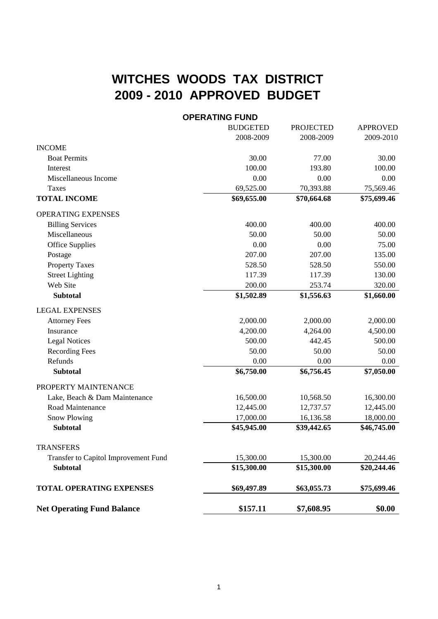## **WITCHES WOODS TAX DISTRICT 2009 - 2010 APPROVED BUDGET**

## **OPERATING FUND**

|                                      | <b>BUDGETED</b> | <b>PROJECTED</b> | <b>APPROVED</b> |
|--------------------------------------|-----------------|------------------|-----------------|
|                                      | 2008-2009       | 2008-2009        | 2009-2010       |
| <b>INCOME</b>                        |                 |                  |                 |
| <b>Boat Permits</b>                  | 30.00           | 77.00            | 30.00           |
| Interest                             | 100.00          | 193.80           | 100.00          |
| Miscellaneous Income                 | 0.00            | 0.00             | 0.00            |
| <b>Taxes</b>                         | 69,525.00       | 70,393.88        | 75,569.46       |
| <b>TOTAL INCOME</b>                  | \$69,655.00     | \$70,664.68      | \$75,699.46     |
| OPERATING EXPENSES                   |                 |                  |                 |
| <b>Billing Services</b>              | 400.00          | 400.00           | 400.00          |
| Miscellaneous                        | 50.00           | 50.00            | 50.00           |
| <b>Office Supplies</b>               | 0.00            | 0.00             | 75.00           |
| Postage                              | 207.00          | 207.00           | 135.00          |
| <b>Property Taxes</b>                | 528.50          | 528.50           | 550.00          |
| <b>Street Lighting</b>               | 117.39          | 117.39           | 130.00          |
| Web Site                             | 200.00          | 253.74           | 320.00          |
| <b>Subtotal</b>                      | \$1,502.89      | \$1,556.63       | \$1,660.00      |
| <b>LEGAL EXPENSES</b>                |                 |                  |                 |
| <b>Attorney Fees</b>                 | 2,000.00        | 2,000.00         | 2,000.00        |
| Insurance                            | 4,200.00        | 4,264.00         | 4,500.00        |
| <b>Legal Notices</b>                 | 500.00          | 442.45           | 500.00          |
| <b>Recording Fees</b>                | 50.00           | 50.00            | 50.00           |
| Refunds                              | 0.00            | 0.00             | 0.00            |
| <b>Subtotal</b>                      | \$6,750.00      | \$6,756.45       | \$7,050.00      |
| PROPERTY MAINTENANCE                 |                 |                  |                 |
| Lake, Beach & Dam Maintenance        | 16,500.00       | 10,568.50        | 16,300.00       |
| Road Maintenance                     | 12,445.00       | 12,737.57        | 12,445.00       |
| <b>Snow Plowing</b>                  | 17,000.00       | 16,136.58        | 18,000.00       |
| <b>Subtotal</b>                      | \$45,945.00     | \$39,442.65      | \$46,745.00     |
| <b>TRANSFERS</b>                     |                 |                  |                 |
| Transfer to Capitol Improvement Fund | 15,300.00       | 15,300.00        | 20,244.46       |
| <b>Subtotal</b>                      | \$15,300.00     | \$15,300.00      | \$20,244.46     |
|                                      |                 |                  |                 |
| <b>TOTAL OPERATING EXPENSES</b>      | \$69,497.89     | \$63,055.73      | \$75,699.46     |
| <b>Net Operating Fund Balance</b>    | \$157.11        | \$7,608.95       | \$0.00          |